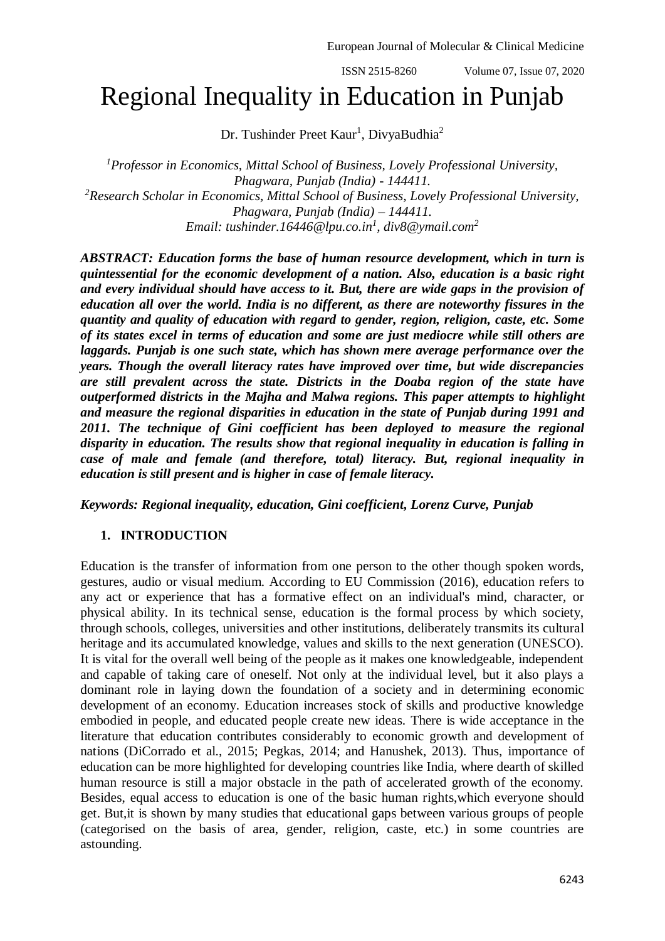ISSN 2515-8260 Volume 07, Issue 07, 2020

# Regional Inequality in Education in Punjab

Dr. Tushinder Preet Kaur<sup>1</sup>, DivyaBudhia<sup>2</sup>

*<sup>1</sup>Professor in Economics, Mittal School of Business, Lovely Professional University, Phagwara, Punjab (India) - 144411. <sup>2</sup>Research Scholar in Economics, Mittal School of Business, Lovely Professional University, Phagwara, Punjab (India) – 144411. Email: [tushinder.16446@lpu.co.in](mailto:tushinder.16446@lpu.co.in)<sup>1</sup> , div8@ymail.com<sup>2</sup>*

*ABSTRACT: Education forms the base of human resource development, which in turn is quintessential for the economic development of a nation. Also, education is a basic right and every individual should have access to it. But, there are wide gaps in the provision of education all over the world. India is no different, as there are noteworthy fissures in the quantity and quality of education with regard to gender, region, religion, caste, etc. Some of its states excel in terms of education and some are just mediocre while still others are laggards. Punjab is one such state, which has shown mere average performance over the years. Though the overall literacy rates have improved over time, but wide discrepancies are still prevalent across the state. Districts in the Doaba region of the state have outperformed districts in the Majha and Malwa regions. This paper attempts to highlight and measure the regional disparities in education in the state of Punjab during 1991 and 2011. The technique of Gini coefficient has been deployed to measure the regional disparity in education. The results show that regional inequality in education is falling in case of male and female (and therefore, total) literacy. But, regional inequality in education is still present and is higher in case of female literacy.*

*Keywords: Regional inequality, education, Gini coefficient, Lorenz Curve, Punjab*

## **1. INTRODUCTION**

Education is the transfer of information from one person to the other though spoken words, gestures, audio or visual medium. According to EU Commission (2016), education refers to any act or experience that has a formative effect on an individual's mind, character, or physical ability. In its technical sense, education is the formal process by which society, through schools, colleges, universities and other institutions, deliberately transmits its cultural heritage and its accumulated knowledge, values and skills to the next generation (UNESCO). It is vital for the overall well being of the people as it makes one knowledgeable, independent and capable of taking care of oneself. Not only at the individual level, but it also plays a dominant role in laying down the foundation of a society and in determining economic development of an economy. Education increases stock of skills and productive knowledge embodied in people, and educated people create new ideas. There is wide acceptance in the literature that education contributes considerably to economic growth and development of nations (DiCorrado et al., 2015; Pegkas, 2014; and Hanushek, 2013). Thus, importance of education can be more highlighted for developing countries like India, where dearth of skilled human resource is still a major obstacle in the path of accelerated growth of the economy. Besides, equal access to education is one of the basic human rights,which everyone should get. But,it is shown by many studies that educational gaps between various groups of people (categorised on the basis of area, gender, religion, caste, etc.) in some countries are astounding.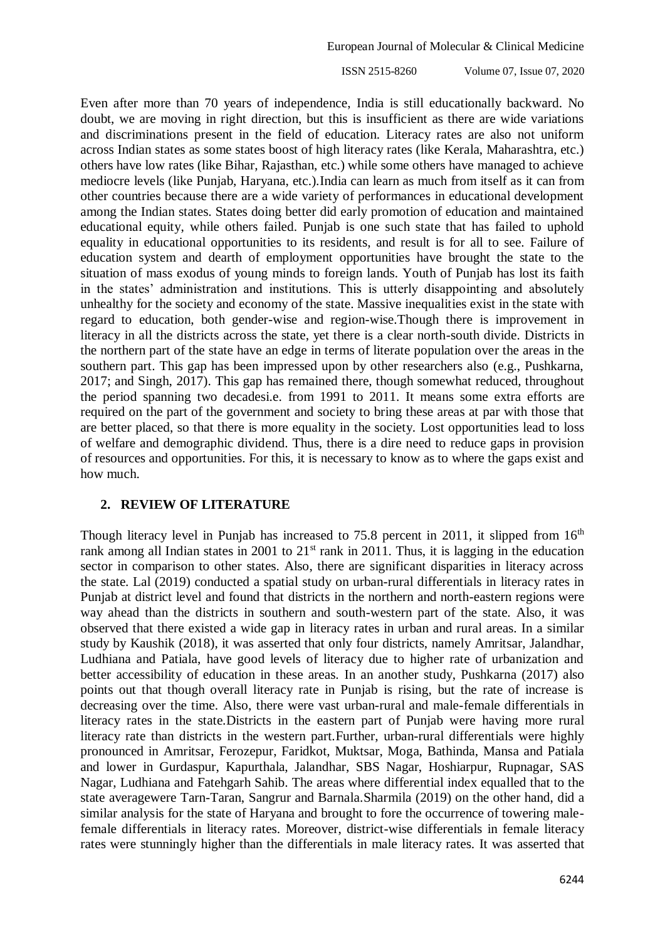ISSN 2515-8260 Volume 07, Issue 07, 2020

Even after more than 70 years of independence, India is still educationally backward. No doubt, we are moving in right direction, but this is insufficient as there are wide variations and discriminations present in the field of education. Literacy rates are also not uniform across Indian states as some states boost of high literacy rates (like Kerala, Maharashtra, etc.) others have low rates (like Bihar, Rajasthan, etc.) while some others have managed to achieve mediocre levels (like Punjab, Haryana, etc.).India can learn as much from itself as it can from other countries because there are a wide variety of performances in educational development among the Indian states. States doing better did early promotion of education and maintained educational equity, while others failed. Punjab is one such state that has failed to uphold equality in educational opportunities to its residents, and result is for all to see. Failure of education system and dearth of employment opportunities have brought the state to the situation of mass exodus of young minds to foreign lands. Youth of Punjab has lost its faith in the states' administration and institutions. This is utterly disappointing and absolutely unhealthy for the society and economy of the state. Massive inequalities exist in the state with regard to education, both gender-wise and region-wise.Though there is improvement in literacy in all the districts across the state, yet there is a clear north-south divide. Districts in the northern part of the state have an edge in terms of literate population over the areas in the southern part. This gap has been impressed upon by other researchers also (e.g., Pushkarna, 2017; and Singh, 2017). This gap has remained there, though somewhat reduced, throughout the period spanning two decadesi.e. from 1991 to 2011. It means some extra efforts are required on the part of the government and society to bring these areas at par with those that are better placed, so that there is more equality in the society. Lost opportunities lead to loss of welfare and demographic dividend. Thus, there is a dire need to reduce gaps in provision of resources and opportunities. For this, it is necessary to know as to where the gaps exist and how much.

#### **2. REVIEW OF LITERATURE**

Though literacy level in Punjab has increased to 75.8 percent in 2011, it slipped from  $16<sup>th</sup>$ rank among all Indian states in 2001 to  $21<sup>st</sup>$  rank in 2011. Thus, it is lagging in the education sector in comparison to other states. Also, there are significant disparities in literacy across the state. Lal (2019) conducted a spatial study on urban-rural differentials in literacy rates in Punjab at district level and found that districts in the northern and north-eastern regions were way ahead than the districts in southern and south-western part of the state. Also, it was observed that there existed a wide gap in literacy rates in urban and rural areas. In a similar study by Kaushik (2018), it was asserted that only four districts, namely Amritsar, Jalandhar, Ludhiana and Patiala, have good levels of literacy due to higher rate of urbanization and better accessibility of education in these areas. In an another study, Pushkarna (2017) also points out that though overall literacy rate in Punjab is rising, but the rate of increase is decreasing over the time. Also, there were vast urban-rural and male-female differentials in literacy rates in the state.Districts in the eastern part of Punjab were having more rural literacy rate than districts in the western part.Further, urban-rural differentials were highly pronounced in Amritsar, Ferozepur, Faridkot, Muktsar, Moga, Bathinda, Mansa and Patiala and lower in Gurdaspur, Kapurthala, Jalandhar, SBS Nagar, Hoshiarpur, Rupnagar, SAS Nagar, Ludhiana and Fatehgarh Sahib. The areas where differential index equalled that to the state averagewere Tarn-Taran, Sangrur and Barnala.Sharmila (2019) on the other hand, did a similar analysis for the state of Haryana and brought to fore the occurrence of towering malefemale differentials in literacy rates. Moreover, district-wise differentials in female literacy rates were stunningly higher than the differentials in male literacy rates. It was asserted that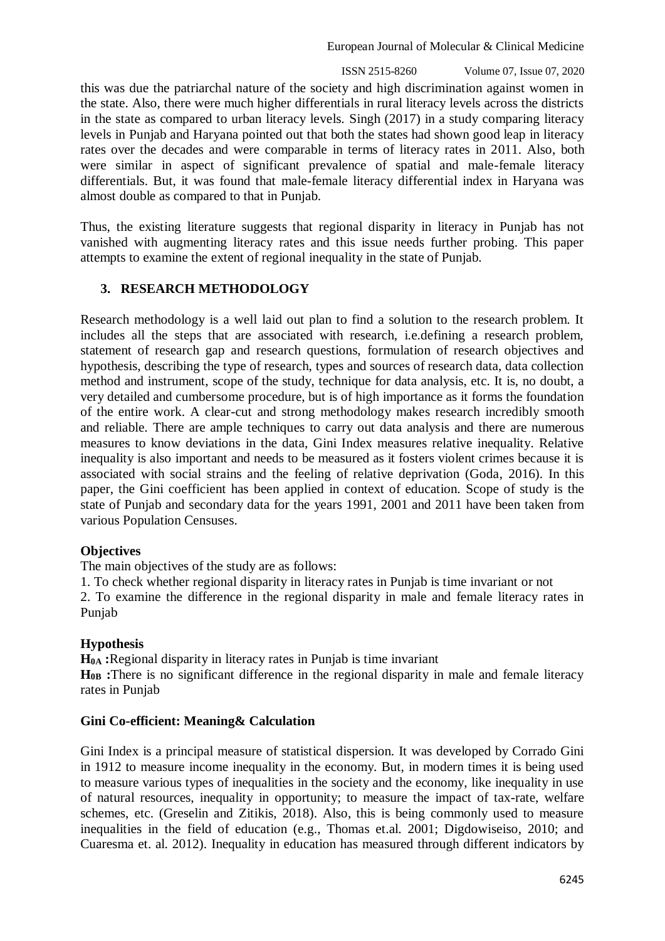European Journal of Molecular & Clinical Medicine

 ISSN 2515-8260 Volume 07, Issue 07, 2020 this was due the patriarchal nature of the society and high discrimination against women in the state. Also, there were much higher differentials in rural literacy levels across the districts in the state as compared to urban literacy levels. Singh (2017) in a study comparing literacy levels in Punjab and Haryana pointed out that both the states had shown good leap in literacy rates over the decades and were comparable in terms of literacy rates in 2011. Also, both were similar in aspect of significant prevalence of spatial and male-female literacy differentials. But, it was found that male-female literacy differential index in Haryana was almost double as compared to that in Punjab.

Thus, the existing literature suggests that regional disparity in literacy in Punjab has not vanished with augmenting literacy rates and this issue needs further probing. This paper attempts to examine the extent of regional inequality in the state of Punjab.

## **3. RESEARCH METHODOLOGY**

Research methodology is a well laid out plan to find a solution to the research problem. It includes all the steps that are associated with research, i.e.defining a research problem, statement of research gap and research questions, formulation of research objectives and hypothesis, describing the type of research, types and sources of research data, data collection method and instrument, scope of the study, technique for data analysis, etc. It is, no doubt, a very detailed and cumbersome procedure, but is of high importance as it forms the foundation of the entire work. A clear-cut and strong methodology makes research incredibly smooth and reliable. There are ample techniques to carry out data analysis and there are numerous measures to know deviations in the data, Gini Index measures relative inequality. Relative inequality is also important and needs to be measured as it fosters violent crimes because it is associated with social strains and the feeling of relative deprivation (Goda, 2016). In this paper, the Gini coefficient has been applied in context of education. Scope of study is the state of Punjab and secondary data for the years 1991, 2001 and 2011 have been taken from various Population Censuses.

## **Objectives**

The main objectives of the study are as follows:

1. To check whether regional disparity in literacy rates in Punjab is time invariant or not

2. To examine the difference in the regional disparity in male and female literacy rates in Punjab

## **Hypothesis**

**H0A :**Regional disparity in literacy rates in Punjab is time invariant

**H0B :**There is no significant difference in the regional disparity in male and female literacy rates in Punjab

## **Gini Co-efficient: Meaning& Calculation**

Gini Index is a principal measure of statistical dispersion. It was developed by Corrado Gini in 1912 to measure income inequality in the economy. But, in modern times it is being used to measure various types of inequalities in the society and the economy, like inequality in use of natural resources, inequality in opportunity; to measure the impact of tax-rate, welfare schemes, etc. (Greselin and Zitikis, 2018). Also, this is being commonly used to measure inequalities in the field of education (e.g., Thomas et.al. 2001; Digdowiseiso, 2010; and Cuaresma et. al. 2012). Inequality in education has measured through different indicators by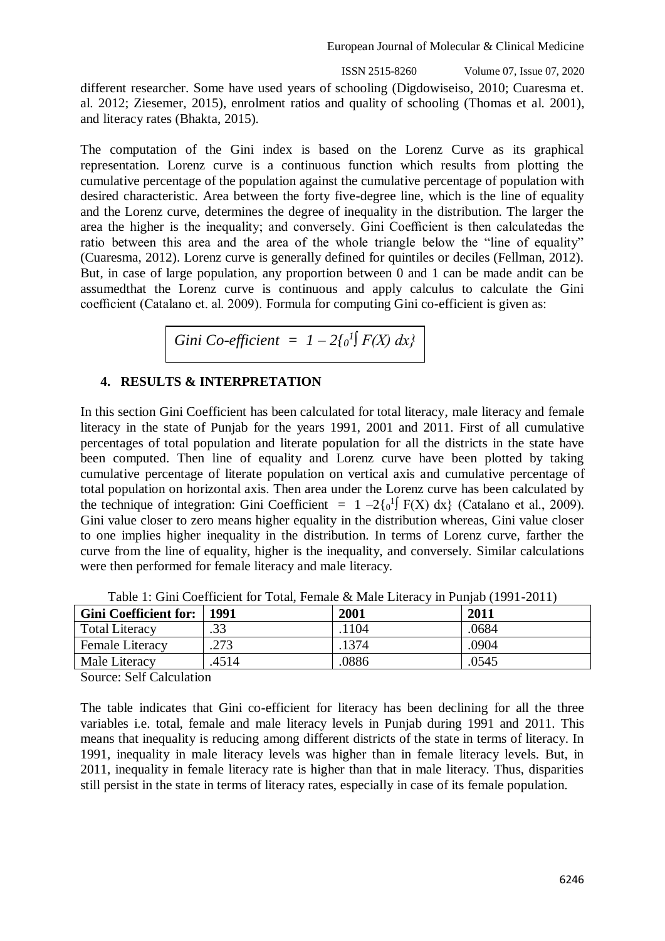European Journal of Molecular & Clinical Medicine

ISSN 2515-8260 Volume 07, Issue 07, 2020

different researcher. Some have used years of schooling (Digdowiseiso, 2010; Cuaresma et. al. 2012; Ziesemer, 2015), enrolment ratios and quality of schooling (Thomas et al. 2001), and literacy rates (Bhakta, 2015).

The computation of the Gini index is based on the Lorenz Curve as its graphical representation. Lorenz curve is a continuous function which results from plotting the cumulative percentage of the population against the cumulative percentage of population with desired characteristic. Area between the forty five-degree line, which is the line of equality and the Lorenz curve, determines the degree of inequality in the distribution. The larger the area the higher is the inequality; and conversely. Gini Coefficient is then calculatedas the ratio between this area and the area of the whole triangle below the "line of equality" (Cuaresma, 2012). Lorenz curve is generally defined for quintiles or deciles (Fellman, 2012). But, in case of large population, any proportion between 0 and 1 can be made andit can be assumedthat the Lorenz curve is continuous and apply calculus to calculate the Gini coefficient (Catalano et. al. 2009). Formula for computing Gini co-efficient is given as:

Gini Co-efficient = 
$$
1 - 2\{0^l\} F(X) dx
$$
}

## **4. RESULTS & INTERPRETATION**

In this section Gini Coefficient has been calculated for total literacy, male literacy and female literacy in the state of Punjab for the years 1991, 2001 and 2011. First of all cumulative percentages of total population and literate population for all the districts in the state have been computed. Then line of equality and Lorenz curve have been plotted by taking cumulative percentage of literate population on vertical axis and cumulative percentage of total population on horizontal axis. Then area under the Lorenz curve has been calculated by the technique of integration: Gini Coefficient =  $1 - 2\{0^1\} F(X) dx$  (Catalano et al., 2009). Gini value closer to zero means higher equality in the distribution whereas, Gini value closer to one implies higher inequality in the distribution. In terms of Lorenz curve, farther the curve from the line of equality, higher is the inequality, and conversely. Similar calculations were then performed for female literacy and male literacy.

| <b>Gini Coefficient for:</b> | 1991  | 2001 | 2011  |
|------------------------------|-------|------|-------|
| <b>Total Literacy</b>        | .33   | 104  | .0684 |
| Female Literacy              | .273  | 1374 | .0904 |
| Male Literacy                | .4514 | 0886 | .0545 |

Table 1: Gini Coefficient for Total, Female & Male Literacy in Punjab (1991-2011)

Source: Self Calculation

The table indicates that Gini co-efficient for literacy has been declining for all the three variables i.e. total, female and male literacy levels in Punjab during 1991 and 2011. This means that inequality is reducing among different districts of the state in terms of literacy. In 1991, inequality in male literacy levels was higher than in female literacy levels. But, in 2011, inequality in female literacy rate is higher than that in male literacy. Thus, disparities still persist in the state in terms of literacy rates, especially in case of its female population.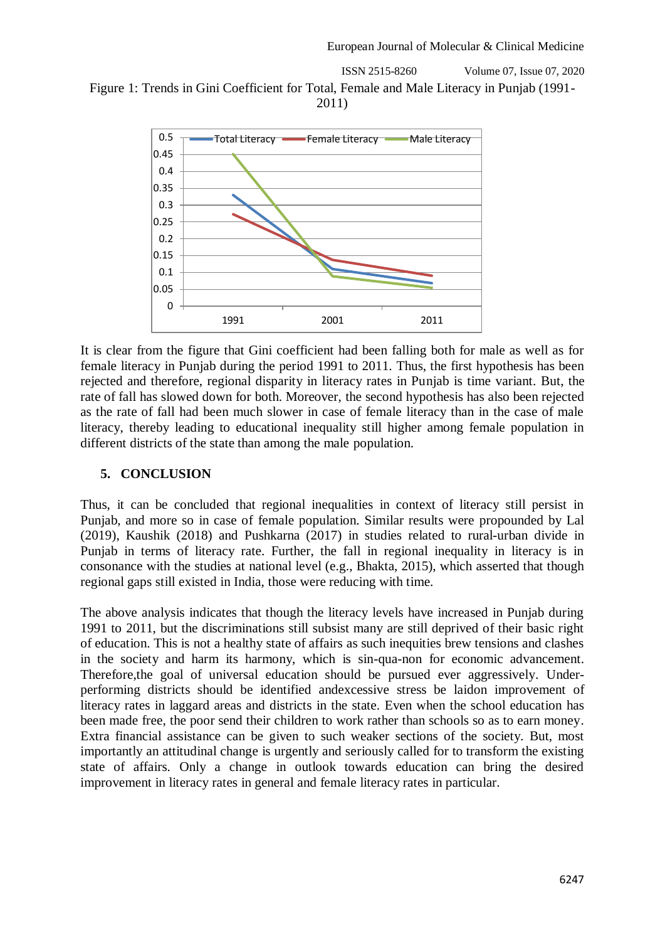ISSN 2515-8260 Volume 07, Issue 07, 2020 Figure 1: Trends in Gini Coefficient for Total, Female and Male Literacy in Punjab (1991- 2011)



It is clear from the figure that Gini coefficient had been falling both for male as well as for female literacy in Punjab during the period 1991 to 2011. Thus, the first hypothesis has been rejected and therefore, regional disparity in literacy rates in Punjab is time variant. But, the rate of fall has slowed down for both. Moreover, the second hypothesis has also been rejected as the rate of fall had been much slower in case of female literacy than in the case of male literacy, thereby leading to educational inequality still higher among female population in different districts of the state than among the male population.

## **5. CONCLUSION**

Thus, it can be concluded that regional inequalities in context of literacy still persist in Punjab, and more so in case of female population. Similar results were propounded by Lal (2019), Kaushik (2018) and Pushkarna (2017) in studies related to rural-urban divide in Punjab in terms of literacy rate. Further, the fall in regional inequality in literacy is in consonance with the studies at national level (e.g., Bhakta, 2015), which asserted that though regional gaps still existed in India, those were reducing with time.

The above analysis indicates that though the literacy levels have increased in Punjab during 1991 to 2011, but the discriminations still subsist many are still deprived of their basic right of education. This is not a healthy state of affairs as such inequities brew tensions and clashes in the society and harm its harmony, which is sin-qua-non for economic advancement. Therefore,the goal of universal education should be pursued ever aggressively. Underperforming districts should be identified andexcessive stress be laidon improvement of literacy rates in laggard areas and districts in the state. Even when the school education has been made free, the poor send their children to work rather than schools so as to earn money. Extra financial assistance can be given to such weaker sections of the society. But, most importantly an attitudinal change is urgently and seriously called for to transform the existing state of affairs. Only a change in outlook towards education can bring the desired improvement in literacy rates in general and female literacy rates in particular.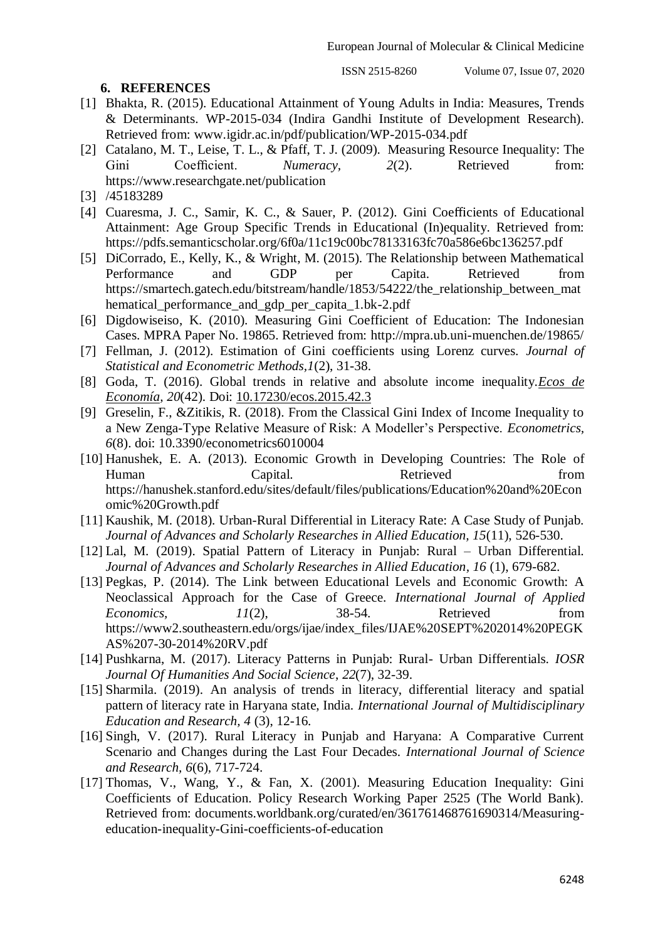**6. REFERENCES**

ISSN 2515-8260 Volume 07, Issue 07, 2020

- [1] Bhakta, R. (2015). Educational Attainment of Young Adults in India: Measures, Trends & Determinants. WP-2015-034 (Indira Gandhi Institute of Development Research). Retrieved from: www.igidr.ac.in/pdf/publication/WP-2015-034.pdf
- [2] Catalano, M. T., Leise, T. L., & Pfaff, T. J. (2009). Measuring Resource Inequality: The Gini Coefficient. *Numeracy*, 2(2). Retrieved from: https://www.researchgate.net/publication
- [3] /45183289
- [4] Cuaresma, J. C., Samir, K. C., & Sauer, P. (2012). Gini Coefficients of Educational Attainment: Age Group Specific Trends in Educational (In)equality. Retrieved from: https://pdfs.semanticscholar.org/6f0a/11c19c00bc78133163fc70a586e6bc136257.pdf
- [5] DiCorrado, E., Kelly, K., & Wright, M. (2015). The Relationship between Mathematical Performance and GDP per Capita. Retrieved from https://smartech.gatech.edu/bitstream/handle/1853/54222/the\_relationship\_between\_mat hematical\_performance\_and\_gdp\_per\_capita\_1.bk-2.pdf
- [6] Digdowiseiso, K. (2010). Measuring Gini Coefficient of Education: The Indonesian Cases. MPRA Paper No. 19865. Retrieved from: http://mpra.ub.uni-muenchen.de/19865/
- [7] Fellman, J. (2012). Estimation of Gini coefficients using Lorenz curves. *Journal of Statistical and Econometric Methods,1*(2), 31-38.
- [8] Goda, T. (2016). Global trends in relative and absolute income inequality.*[Ecos de](http://www.scielo.org.co/scielo.php?script=sci_serial&pid=1657-4206&lng=en&nrm=iso)  [Economía,](http://www.scielo.org.co/scielo.php?script=sci_serial&pid=1657-4206&lng=en&nrm=iso) 20*(42). Doi: [10.17230/ecos.2015.42.3](http://dx.doi.org/10.17230/ecos.2015.42.3)
- [9] Greselin, F., &Zitikis, R. (2018). From the Classical Gini Index of Income Inequality to a New Zenga-Type Relative Measure of Risk: A Modeller's Perspective. *Econometrics, 6*(8). doi: 10.3390/econometrics6010004
- [10] Hanushek, E. A. (2013). Economic Growth in Developing Countries: The Role of Human Capital. Retrieved from https://hanushek.stanford.edu/sites/default/files/publications/Education%20and%20Econ omic%20Growth.pdf
- [11] Kaushik, M. (2018). Urban-Rural Differential in Literacy Rate: A Case Study of Punjab. *Journal of Advances and Scholarly Researches in Allied Education, 15*(11), 526-530.
- [12] Lal, M. (2019). Spatial Pattern of Literacy in Punjab: Rural Urban Differential. *Journal of Advances and Scholarly Researches in Allied Education, 16* (1), 679-682.
- [13] Pegkas, P. (2014). The Link between Educational Levels and Economic Growth: A Neoclassical Approach for the Case of Greece. *International Journal of Applied Economics*,  $11(2)$ , 38-54. Retrieved from https://www2.southeastern.edu/orgs/ijae/index\_files/IJAE%20SEPT%202014%20PEGK AS%207-30-2014%20RV.pdf
- [14] Pushkarna, M. (2017). Literacy Patterns in Punjab: Rural- Urban Differentials. *IOSR Journal Of Humanities And Social Science*, *22*(7), 32-39.
- [15] Sharmila. (2019). An analysis of trends in literacy, differential literacy and spatial pattern of literacy rate in Haryana state, India. *International Journal of Multidisciplinary Education and Research, 4* (3), 12-16.
- [16] Singh, V. (2017). Rural Literacy in Punjab and Haryana: A Comparative Current Scenario and Changes during the Last Four Decades. *International Journal of Science and Research, 6*(6), 717-724.
- [17] Thomas, V., Wang, Y., & Fan, X. (2001). Measuring Education Inequality: Gini Coefficients of Education. Policy Research Working Paper 2525 (The World Bank). Retrieved from: documents.worldbank.org/curated/en/361761468761690314/Measuringeducation-inequality-Gini-coefficients-of-education